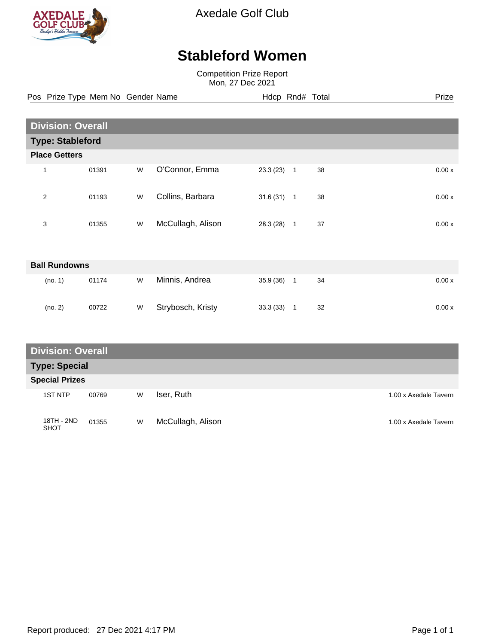

Axedale Golf Club

## **Stableford Women**

Competition Prize Report Mon, 27 Dec 2021

Pos Prize Type Mem No Gender Name **Hdcp Rnd# Total** Prize Prize

|                | <b>Division: Overall</b> |   |                   |           |                      |       |  |
|----------------|--------------------------|---|-------------------|-----------|----------------------|-------|--|
|                | <b>Type: Stableford</b>  |   |                   |           |                      |       |  |
|                | <b>Place Getters</b>     |   |                   |           |                      |       |  |
| $\mathbf{1}$   | 01391                    | W | O'Connor, Emma    | 23.3(23)  | 38<br>$\mathbf{1}$   | 0.00x |  |
| $\overline{2}$ | 01193                    | W | Collins, Barbara  | 31.6(31)  | 38<br>$\overline{1}$ | 0.00x |  |
| 3              | 01355                    | W | McCullagh, Alison | 28.3 (28) | 37<br>$\mathbf{1}$   | 0.00x |  |
|                | <b>Ball Rundowns</b>     |   |                   |           |                      |       |  |
|                | (no. 1)<br>01174         | W | Minnis, Andrea    | 35.9 (36) | 34<br>$\mathbf{1}$   | 0.00x |  |
|                | (no. 2)<br>00722         | W | Strybosch, Kristy | 33.3(33)  | 32<br>$\mathbf{1}$   | 0.00x |  |

| <b>Division: Overall</b> |            |       |   |                   |                       |  |
|--------------------------|------------|-------|---|-------------------|-----------------------|--|
| <b>Type: Special</b>     |            |       |   |                   |                       |  |
| <b>Special Prizes</b>    |            |       |   |                   |                       |  |
|                          | 1ST NTP    | 00769 | W | Iser, Ruth        | 1.00 x Axedale Tavern |  |
| <b>SHOT</b>              | 18TH - 2ND | 01355 | W | McCullagh, Alison | 1.00 x Axedale Tavern |  |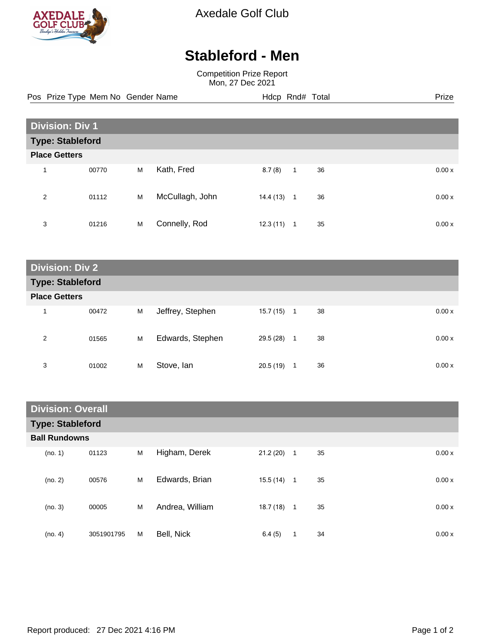

Axedale Golf Club

## **Stableford - Men**

Competition Prize Report Mon, 27 Dec 2021

Pos Prize Type Mem No Gender Name **Hdcp Rnd# Total** Prize Prize

| <b>Division: Div 1</b>  |       |   |                 |           |              |    |  |        |
|-------------------------|-------|---|-----------------|-----------|--------------|----|--|--------|
| <b>Type: Stableford</b> |       |   |                 |           |              |    |  |        |
| <b>Place Getters</b>    |       |   |                 |           |              |    |  |        |
| 1                       | 00770 | M | Kath, Fred      | 8.7(8)    | $\mathbf{1}$ | 36 |  | 0.00x  |
| 2                       | 01112 | M | McCullagh, John | 14.4 (13) | $\mathbf{1}$ | 36 |  | 0.00 x |
| 3                       | 01216 | M | Connelly, Rod   | 12.3(11)  | 1            | 35 |  | 0.00x  |

**Division: Div 2 Type: Stableford Place Getters** 1 00472 M Jeffrey, Stephen 15.7 (15) 1 38 0.00 x 2 01565 M Edwards, Stephen 29.5 (28) 1 38 0.00 x 3 01002 M Stove, Ian 20.5 (19) 1 36 0.00 x

| <b>Division: Overall</b> |            |   |                 |              |                |    |        |
|--------------------------|------------|---|-----------------|--------------|----------------|----|--------|
| <b>Type: Stableford</b>  |            |   |                 |              |                |    |        |
| <b>Ball Rundowns</b>     |            |   |                 |              |                |    |        |
| (no. 1)                  | 01123      | M | Higham, Derek   | 21.2(20)     | $\mathbf{1}$   | 35 | 0.00x  |
| (no. 2)                  | 00576      | M | Edwards, Brian  | $15.5(14)$ 1 |                | 35 | 0.00x  |
| (no. 3)                  | 00005      | M | Andrea, William | 18.7(18)     | $\overline{1}$ | 35 | 0.00 x |
| (no. 4)                  | 3051901795 | M | Bell, Nick      | 6.4(5)       | 1              | 34 | 0.00 x |